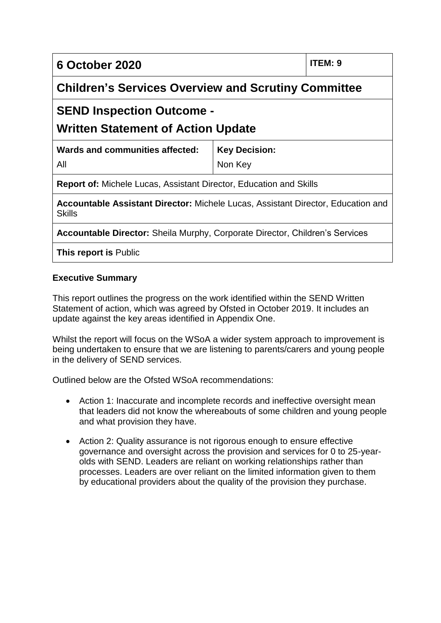**6 October 2020 ITEM: 9**

**Children's Services Overview and Scrutiny Committee** 

# **SEND Inspection Outcome -**

## **Written Statement of Action Update**

| Wards and communities affected: | <b>Key Decision:</b> |
|---------------------------------|----------------------|
| All                             | Non Key              |

**Report of:** Michele Lucas, Assistant Director, Education and Skills

**Accountable Assistant Director:** Michele Lucas, Assistant Director, Education and **Skills** 

**Accountable Director:** Sheila Murphy, Corporate Director, Children's Services

**This report is** Public

#### **Executive Summary**

This report outlines the progress on the work identified within the SEND Written Statement of action, which was agreed by Ofsted in October 2019. It includes an update against the key areas identified in Appendix One.

Whilst the report will focus on the WSoA a wider system approach to improvement is being undertaken to ensure that we are listening to parents/carers and young people in the delivery of SEND services.

Outlined below are the Ofsted WSoA recommendations:

- Action 1: Inaccurate and incomplete records and ineffective oversight mean that leaders did not know the whereabouts of some children and young people and what provision they have.
- Action 2: Quality assurance is not rigorous enough to ensure effective governance and oversight across the provision and services for 0 to 25-yearolds with SEND. Leaders are reliant on working relationships rather than processes. Leaders are over reliant on the limited information given to them by educational providers about the quality of the provision they purchase.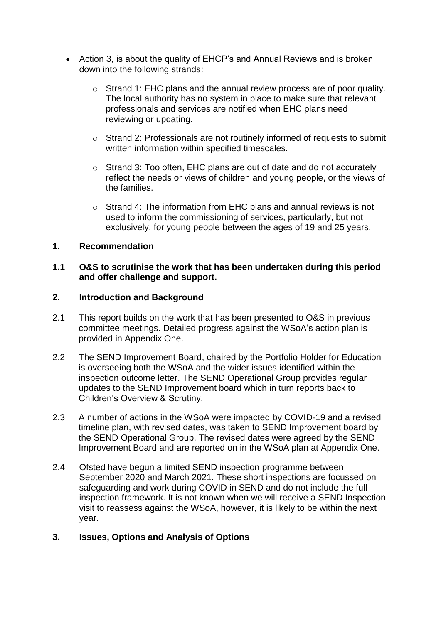- Action 3, is about the quality of EHCP's and Annual Reviews and is broken down into the following strands:
	- o Strand 1: EHC plans and the annual review process are of poor quality. The local authority has no system in place to make sure that relevant professionals and services are notified when EHC plans need reviewing or updating.
	- o Strand 2: Professionals are not routinely informed of requests to submit written information within specified timescales.
	- o Strand 3: Too often, EHC plans are out of date and do not accurately reflect the needs or views of children and young people, or the views of the families.
	- o Strand 4: The information from EHC plans and annual reviews is not used to inform the commissioning of services, particularly, but not exclusively, for young people between the ages of 19 and 25 years.

#### **1. Recommendation**

#### **1.1 O&S to scrutinise the work that has been undertaken during this period and offer challenge and support.**

#### **2. Introduction and Background**

- 2.1 This report builds on the work that has been presented to O&S in previous committee meetings. Detailed progress against the WSoA's action plan is provided in Appendix One.
- 2.2 The SEND Improvement Board, chaired by the Portfolio Holder for Education is overseeing both the WSoA and the wider issues identified within the inspection outcome letter. The SEND Operational Group provides regular updates to the SEND Improvement board which in turn reports back to Children's Overview & Scrutiny.
- 2.3 A number of actions in the WSoA were impacted by COVID-19 and a revised timeline plan, with revised dates, was taken to SEND Improvement board by the SEND Operational Group. The revised dates were agreed by the SEND Improvement Board and are reported on in the WSoA plan at Appendix One.
- 2.4 Ofsted have begun a limited SEND inspection programme between September 2020 and March 2021. These short inspections are focussed on safeguarding and work during COVID in SEND and do not include the full inspection framework. It is not known when we will receive a SEND Inspection visit to reassess against the WSoA, however, it is likely to be within the next year.

#### **3. Issues, Options and Analysis of Options**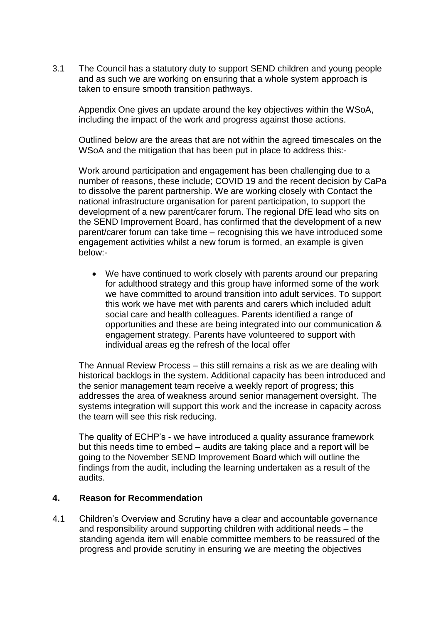3.1 The Council has a statutory duty to support SEND children and young people and as such we are working on ensuring that a whole system approach is taken to ensure smooth transition pathways.

Appendix One gives an update around the key objectives within the WSoA, including the impact of the work and progress against those actions.

Outlined below are the areas that are not within the agreed timescales on the WSoA and the mitigation that has been put in place to address this:-

Work around participation and engagement has been challenging due to a number of reasons, these include; COVID 19 and the recent decision by CaPa to dissolve the parent partnership. We are working closely with Contact the national infrastructure organisation for parent participation, to support the development of a new parent/carer forum. The regional DfE lead who sits on the SEND Improvement Board, has confirmed that the development of a new parent/carer forum can take time – recognising this we have introduced some engagement activities whilst a new forum is formed, an example is given below:-

 We have continued to work closely with parents around our preparing for adulthood strategy and this group have informed some of the work we have committed to around transition into adult services. To support this work we have met with parents and carers which included adult social care and health colleagues. Parents identified a range of opportunities and these are being integrated into our communication & engagement strategy. Parents have volunteered to support with individual areas eg the refresh of the local offer

The Annual Review Process – this still remains a risk as we are dealing with historical backlogs in the system. Additional capacity has been introduced and the senior management team receive a weekly report of progress; this addresses the area of weakness around senior management oversight. The systems integration will support this work and the increase in capacity across the team will see this risk reducing.

The quality of ECHP's - we have introduced a quality assurance framework but this needs time to embed – audits are taking place and a report will be going to the November SEND Improvement Board which will outline the findings from the audit, including the learning undertaken as a result of the audits.

#### **4. Reason for Recommendation**

4.1 Children's Overview and Scrutiny have a clear and accountable governance and responsibility around supporting children with additional needs – the standing agenda item will enable committee members to be reassured of the progress and provide scrutiny in ensuring we are meeting the objectives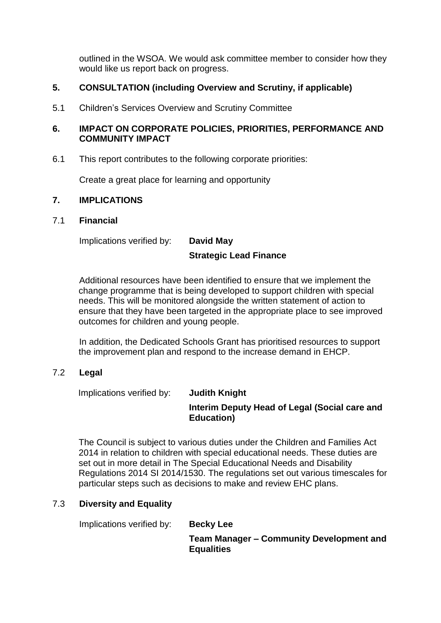outlined in the WSOA. We would ask committee member to consider how they would like us report back on progress.

#### **5. CONSULTATION (including Overview and Scrutiny, if applicable)**

5.1 Children's Services Overview and Scrutiny Committee

#### **6. IMPACT ON CORPORATE POLICIES, PRIORITIES, PERFORMANCE AND COMMUNITY IMPACT**

6.1 This report contributes to the following corporate priorities:

Create a great place for learning and opportunity

#### **7. IMPLICATIONS**

#### 7.1 **Financial**

Implications verified by: **David May** 

# **Strategic Lead Finance**

Additional resources have been identified to ensure that we implement the change programme that is being developed to support children with special needs. This will be monitored alongside the written statement of action to ensure that they have been targeted in the appropriate place to see improved outcomes for children and young people.

In addition, the Dedicated Schools Grant has prioritised resources to support the improvement plan and respond to the increase demand in EHCP.

#### 7.2 **Legal**

Implications verified by: **Judith Knight**

#### **Interim Deputy Head of Legal (Social care and Education)**

The Council is subject to various duties under the Children and Families Act 2014 in relation to children with special educational needs. These duties are set out in more detail in The Special Educational Needs and Disability Regulations 2014 SI 2014/1530. The regulations set out various timescales for particular steps such as decisions to make and review EHC plans.

### 7.3 **Diversity and Equality**

Implications verified by: **Becky Lee** 

**Team Manager – Community Development and Equalities**